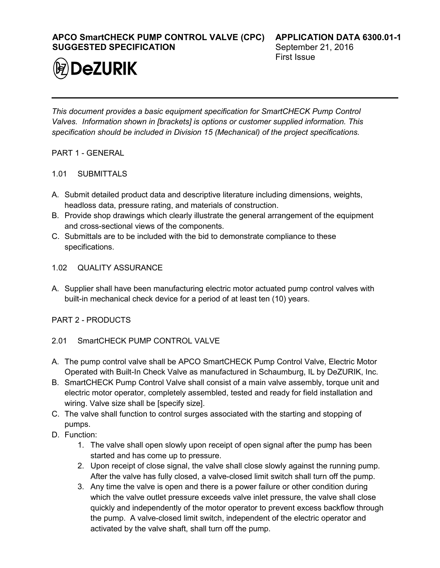**APCO SmartCHECK PUMP CONTROL VALVE (CPC) SUGGESTED SPECIFICATION**



**APPLICATION DATA 6300.01-1** September 21, 2016 First Issue

*This document provides a basic equipment specification for SmartCHECK Pump Control Valves. Information shown in [brackets] is options or customer supplied information. This specification should be included in Division 15 (Mechanical) of the project specifications.*

- PART 1 GENERAL
- 1.01 SUBMITTALS
- A. Submit detailed product data and descriptive literature including dimensions, weights, headloss data, pressure rating, and materials of construction.
- B. Provide shop drawings which clearly illustrate the general arrangement of the equipment and cross-sectional views of the components.
- C. Submittals are to be included with the bid to demonstrate compliance to these specifications.
- 1.02 QUALITY ASSURANCE
- A. Supplier shall have been manufacturing electric motor actuated pump control valves with built-in mechanical check device for a period of at least ten (10) years.

PART 2 - PRODUCTS

- 2.01 SmartCHECK PUMP CONTROL VALVE
- A. The pump control valve shall be APCO SmartCHECK Pump Control Valve, Electric Motor Operated with Built-In Check Valve as manufactured in Schaumburg, IL by DeZURIK, Inc.
- B. SmartCHECK Pump Control Valve shall consist of a main valve assembly, torque unit and electric motor operator, completely assembled, tested and ready for field installation and wiring. Valve size shall be [specify size].
- C. The valve shall function to control surges associated with the starting and stopping of pumps.
- D. Function:
	- 1. The valve shall open slowly upon receipt of open signal after the pump has been started and has come up to pressure.
	- 2. Upon receipt of close signal, the valve shall close slowly against the running pump. After the valve has fully closed, a valve-closed limit switch shall turn off the pump.
	- 3. Any time the valve is open and there is a power failure or other condition during which the valve outlet pressure exceeds valve inlet pressure, the valve shall close quickly and independently of the motor operator to prevent excess backflow through the pump. A valve-closed limit switch, independent of the electric operator and activated by the valve shaft, shall turn off the pump.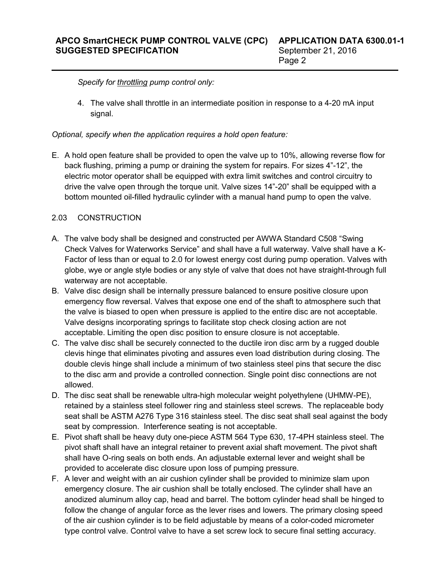*Specify for throttling pump control only:*

4. The valve shall throttle in an intermediate position in response to a 4-20 mA input signal.

*Optional, specify when the application requires a hold open feature:* 

E. A hold open feature shall be provided to open the valve up to 10%, allowing reverse flow for back flushing, priming a pump or draining the system for repairs. For sizes 4"-12", the electric motor operator shall be equipped with extra limit switches and control circuitry to drive the valve open through the torque unit. Valve sizes 14"-20" shall be equipped with a bottom mounted oil-filled hydraulic cylinder with a manual hand pump to open the valve.

### 2.03 CONSTRUCTION

- A. The valve body shall be designed and constructed per AWWA Standard C508 "Swing Check Valves for Waterworks Service" and shall have a full waterway. Valve shall have a K-Factor of less than or equal to 2.0 for lowest energy cost during pump operation. Valves with globe, wye or angle style bodies or any style of valve that does not have straight-through full waterway are not acceptable.
- B. Valve disc design shall be internally pressure balanced to ensure positive closure upon emergency flow reversal. Valves that expose one end of the shaft to atmosphere such that the valve is biased to open when pressure is applied to the entire disc are not acceptable. Valve designs incorporating springs to facilitate stop check closing action are not acceptable. Limiting the open disc position to ensure closure is not acceptable.
- C. The valve disc shall be securely connected to the ductile iron disc arm by a rugged double clevis hinge that eliminates pivoting and assures even load distribution during closing. The double clevis hinge shall include a minimum of two stainless steel pins that secure the disc to the disc arm and provide a controlled connection. Single point disc connections are not allowed.
- D. The disc seat shall be renewable ultra-high molecular weight polyethylene (UHMW-PE), retained by a stainless steel follower ring and stainless steel screws. The replaceable body seat shall be ASTM A276 Type 316 stainless steel. The disc seat shall seal against the body seat by compression. Interference seating is not acceptable.
- E. Pivot shaft shall be heavy duty one-piece ASTM 564 Type 630, 17-4PH stainless steel. The pivot shaft shall have an integral retainer to prevent axial shaft movement. The pivot shaft shall have O-ring seals on both ends. An adjustable external lever and weight shall be provided to accelerate disc closure upon loss of pumping pressure.
- F. A lever and weight with an air cushion cylinder shall be provided to minimize slam upon emergency closure. The air cushion shall be totally enclosed. The cylinder shall have an anodized aluminum alloy cap, head and barrel. The bottom cylinder head shall be hinged to follow the change of angular force as the lever rises and lowers. The primary closing speed of the air cushion cylinder is to be field adjustable by means of a color-coded micrometer type control valve. Control valve to have a set screw lock to secure final setting accuracy.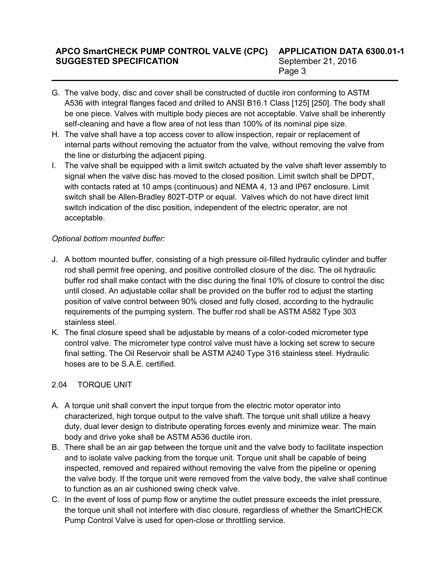# **APCO SmartCHECK PUMP CONTROL VALVE (CPC) SUGGESTED SPECIFICATION**

- G. The valve body, disc and cover shall be constructed of ductile iron conforming to ASTM A536 with integral flanges faced and drilled to ANSI B16.1 Class [125] [250]. The body shall be one piece. Valves with multiple body pieces are not acceptable. Valve shall be inherently self-cleaning and have a flow area of not less than 100% of its nominal pipe size.
- H. The valve shall have a top access cover to allow inspection, repair or replacement of internal parts without removing the actuator from the valve, without removing the valve from the line or disturbing the adjacent piping.
- I. The valve shall be equipped with a limit switch actuated by the valve shaft lever assembly to signal when the valve disc has moved to the closed position. Limit switch shall be DPDT, with contacts rated at 10 amps (continuous) and NEMA 4, 13 and IP67 enclosure. Limit switch shall be Allen-Bradley 802T-DTP or equal. Valves which do not have direct limit switch indication of the disc position, independent of the electric operator, are not acceptable.

## *Optional bottom mounted buffer:*

- J. A bottom mounted buffer, consisting of a high pressure oil-filled hydraulic cylinder and buffer rod shall permit free opening, and positive controlled closure of the disc. The oil hydraulic buffer rod shall make contact with the disc during the final 10% of closure to control the disc until closed. An adjustable collar shall be provided on the buffer rod to adjust the starting position of valve control between 90% closed and fully closed, according to the hydraulic requirements of the pumping system. The buffer rod shall be ASTM A582 Type 303 stainless steel.
- K. The final closure speed shall be adjustable by means of a color-coded micrometer type control valve. The micrometer type control valve must have a locking set screw to secure final setting. The Oil Reservoir shall be ASTM A240 Type 316 stainless steel. Hydraulic hoses are to be S.A.E. certified.

# 2.04 TORQUE UNIT

- A. A torque unit shall convert the input torque from the electric motor operator into characterized, high torque output to the valve shaft. The torque unit shall utilize a heavy duty, dual lever design to distribute operating forces evenly and minimize wear. The main body and drive yoke shall be ASTM A536 ductile iron.
- B. There shall be an air gap between the torque unit and the valve body to facilitate inspection and to isolate valve packing from the torque unit. Torque unit shall be capable of being inspected, removed and repaired without removing the valve from the pipeline or opening the valve body. If the torque unit were removed from the valve body, the valve shall continue to function as an air cushioned swing check valve.
- C. In the event of loss of pump flow or anytime the outlet pressure exceeds the inlet pressure, the torque unit shall not interfere with disc closure, regardless of whether the SmartCHECK Pump Control Valve is used for open-close or throttling service.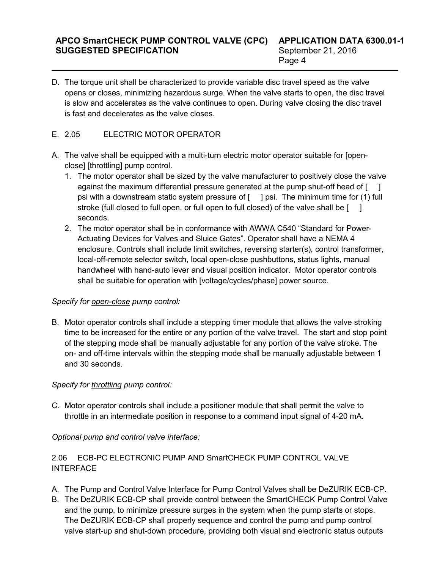D. The torque unit shall be characterized to provide variable disc travel speed as the valve opens or closes, minimizing hazardous surge. When the valve starts to open, the disc travel is slow and accelerates as the valve continues to open. During valve closing the disc travel is fast and decelerates as the valve closes.

### E. 2.05 ELECTRIC MOTOR OPERATOR

- A. The valve shall be equipped with a multi-turn electric motor operator suitable for [openclose] [throttling] pump control.
	- 1. The motor operator shall be sized by the valve manufacturer to positively close the valve against the maximum differential pressure generated at the pump shut-off head of  $\begin{bmatrix} 1 \end{bmatrix}$ psi with a downstream static system pressure of  $\lceil \quad \rceil$  psi. The minimum time for (1) full stroke (full closed to full open, or full open to full closed) of the valve shall be  $\begin{bmatrix} 1 \end{bmatrix}$ seconds.
	- 2. The motor operator shall be in conformance with AWWA C540 "Standard for Power-Actuating Devices for Valves and Sluice Gates". Operator shall have a NEMA 4 enclosure. Controls shall include limit switches, reversing starter(s), control transformer, local-off-remote selector switch, local open-close pushbuttons, status lights, manual handwheel with hand-auto lever and visual position indicator. Motor operator controls shall be suitable for operation with [voltage/cycles/phase] power source.

#### *Specify for open-close pump control:*

B. Motor operator controls shall include a stepping timer module that allows the valve stroking time to be increased for the entire or any portion of the valve travel. The start and stop point of the stepping mode shall be manually adjustable for any portion of the valve stroke. The on- and off-time intervals within the stepping mode shall be manually adjustable between 1 and 30 seconds.

### *Specify for throttling pump control:*

C. Motor operator controls shall include a positioner module that shall permit the valve to throttle in an intermediate position in response to a command input signal of 4-20 mA.

### *Optional pump and control valve interface:*

## 2.06 ECB-PC ELECTRONIC PUMP AND SmartCHECK PUMP CONTROL VALVE **INTERFACE**

- A. The Pump and Control Valve Interface for Pump Control Valves shall be DeZURIK ECB-CP.
- B. The DeZURIK ECB-CP shall provide control between the SmartCHECK Pump Control Valve and the pump, to minimize pressure surges in the system when the pump starts or stops. The DeZURIK ECB-CP shall properly sequence and control the pump and pump control valve start-up and shut-down procedure, providing both visual and electronic status outputs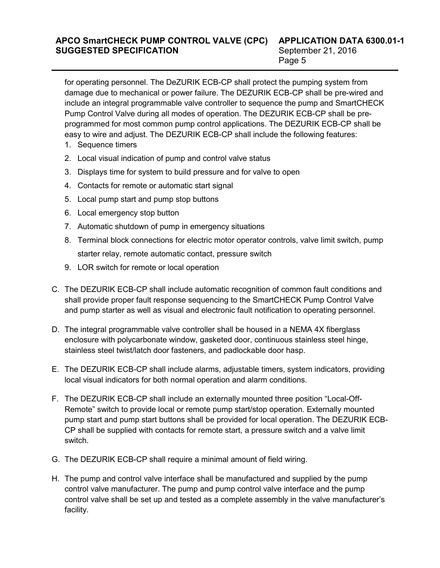for operating personnel. The DeZURIK ECB-CP shall protect the pumping system from damage due to mechanical or power failure. The DEZURIK ECB-CP shall be pre-wired and include an integral programmable valve controller to sequence the pump and SmartCHECK Pump Control Valve during all modes of operation. The DEZURIK ECB-CP shall be preprogrammed for most common pump control applications. The DEZURIK ECB-CP shall be easy to wire and adjust. The DEZURIK ECB-CP shall include the following features:

- 1. Sequence timers
- 2. Local visual indication of pump and control valve status
- 3. Displays time for system to build pressure and for valve to open
- 4. Contacts for remote or automatic start signal
- 5. Local pump start and pump stop buttons
- 6. Local emergency stop button
- 7. Automatic shutdown of pump in emergency situations
- 8. Terminal block connections for electric motor operator controls, valve limit switch, pump starter relay, remote automatic contact, pressure switch
- 9. LOR switch for remote or local operation
- C. The DEZURIK ECB-CP shall include automatic recognition of common fault conditions and shall provide proper fault response sequencing to the SmartCHECK Pump Control Valve and pump starter as well as visual and electronic fault notification to operating personnel.
- D. The integral programmable valve controller shall be housed in a NEMA 4X fiberglass enclosure with polycarbonate window, gasketed door, continuous stainless steel hinge, stainless steel twist/latch door fasteners, and padlockable door hasp.
- E. The DEZURIK ECB-CP shall include alarms, adjustable timers, system indicators, providing local visual indicators for both normal operation and alarm conditions.
- F. The DEZURIK ECB-CP shall include an externally mounted three position "Local-Off-Remote" switch to provide local or remote pump start/stop operation. Externally mounted pump start and pump start buttons shall be provided for local operation. The DEZURIK ECB-CP shall be supplied with contacts for remote start, a pressure switch and a valve limit switch.
- G. The DEZURIK ECB-CP shall require a minimal amount of field wiring.
- H. The pump and control valve interface shall be manufactured and supplied by the pump control valve manufacturer. The pump and pump control valve interface and the pump control valve shall be set up and tested as a complete assembly in the valve manufacturer's facility.